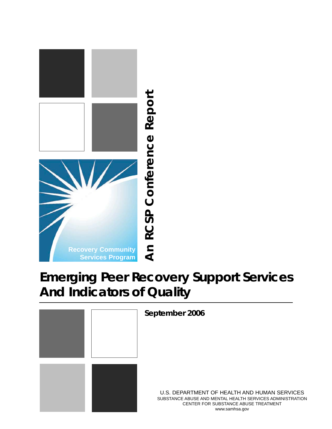

# **Emerging Peer Recovery Support Services**

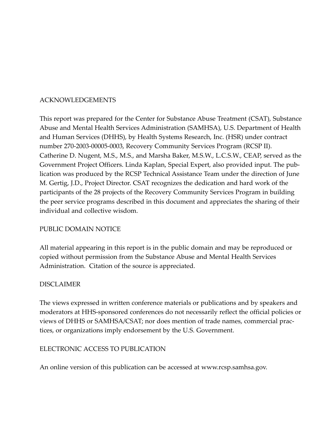### ACKNOWLEDGEMENTS

This report was prepared for the Center for Substance Abuse Treatment (CSAT), Substance Abuse and Mental Health Services Administration (SAMHSA), U.S. Department of Health and Human Services (DHHS), by Health Systems Research, Inc. (HSR) under contract number 270-2003-00005-0003, Recovery Community Services Program (RCSP II). Catherine D. Nugent, M.S., M.S., and Marsha Baker, M.S.W., L.C.S.W., CEAP, served as the Government Project Officers. Linda Kaplan, Special Expert, also provided input. The publication was produced by the RCSP Technical Assistance Team under the direction of June M. Gertig, J.D., Project Director. CSAT recognizes the dedication and hard work of the participants of the 28 projects of the Recovery Community Services Program in building the peer service programs described in this document and appreciates the sharing of their individual and collective wisdom.

### PUBLIC DOMAIN NOTICE

All material appearing in this report is in the public domain and may be reproduced or copied without permission from the Substance Abuse and Mental Health Services Administration. Citation of the source is appreciated.

### DISCLAIMER

The views expressed in written conference materials or publications and by speakers and moderators at HHS-sponsored conferences do not necessarily reflect the official policies or views of DHHS or SAMHSA/CSAT; nor does mention of trade names, commercial practices, or organizations imply endorsement by the U.S. Government.

### ELECTRONIC ACCESS TO PUBLICATION

An online version of this publication can be accessed at www.rcsp.samhsa.gov.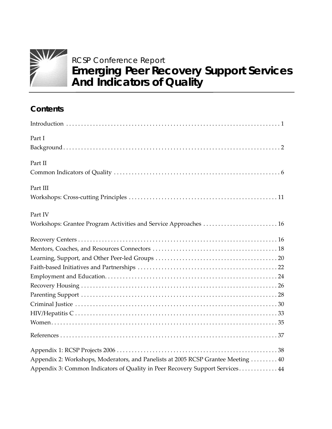

# RCSP Conference Report **Emerging Peer Recovery Support Services And Indicators of Quality**

# **Contents**

| Part I                                                                            |
|-----------------------------------------------------------------------------------|
|                                                                                   |
| Part II                                                                           |
|                                                                                   |
| Part III                                                                          |
|                                                                                   |
| Part IV                                                                           |
| Workshops: Grantee Program Activities and Service Approaches  16                  |
|                                                                                   |
|                                                                                   |
|                                                                                   |
|                                                                                   |
|                                                                                   |
|                                                                                   |
|                                                                                   |
|                                                                                   |
|                                                                                   |
|                                                                                   |
|                                                                                   |
|                                                                                   |
| Appendix 2: Workshops, Moderators, and Panelists at 2005 RCSP Grantee Meeting  40 |
| Appendix 3: Common Indicators of Quality in Peer Recovery Support Services 44     |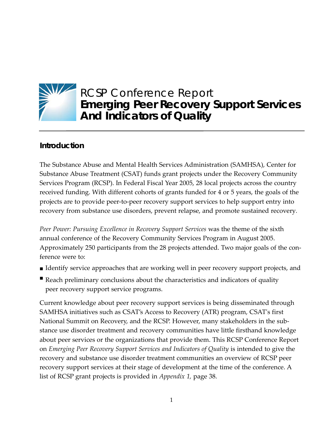

# RCSP Conference Report **Emerging Peer Recovery Support Services And Indicators of Quality**

# **Introduction**

The Substance Abuse and Mental Health Services Administration (SAMHSA), Center for Substance Abuse Treatment (CSAT) funds grant projects under the Recovery Community Services Program (RCSP). In Federal Fiscal Year 2005, 28 local projects across the country received funding. With different cohorts of grants funded for 4 or 5 years, the goals of the projects are to provide peer-to-peer recovery support services to help support entry into recovery from substance use disorders, prevent relapse, and promote sustained recovery*.*

*Peer Power: Pursuing Excellence in Recovery Support Services* was the theme of the sixth annual conference of the Recovery Community Services Program in August 2005. Approximately 250 participants from the 28 projects attended. Two major goals of the conference were to:

- **IDENTIFY** service approaches that are working well in peer recovery support projects, and
- Reach preliminary conclusions about the characteristics and indicators of quality peer recovery support service programs.

Current knowledge about peer recovery support services is being disseminated through SAMHSA initiatives such as CSAT's Access to Recovery (ATR) program, CSAT's first National Summit on Recovery, and the RCSP. However, many stakeholders in the substance use disorder treatment and recovery communities have little firsthand knowledge about peer services or the organizations that provide them. This RCSP Conference Report on *Emerging Peer Recovery Support Services and Indicators of Quality* is intended to give the recovery and substance use disorder treatment communities an overview of RCSP peer recovery support services at their stage of development at the time of the conference. A list of RCSP grant projects is provided in *Appendix 1,* page 38.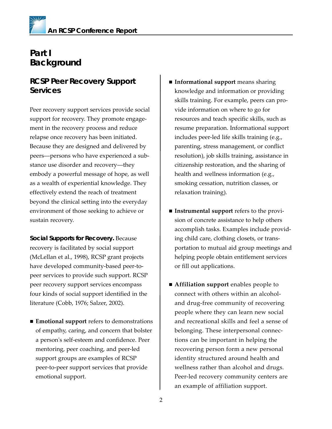# **Part I Background**

# **RCSP Peer Recovery Support Services**

Peer recovery support services provide social support for recovery. They promote engagement in the recovery process and reduce relapse once recovery has been initiated. Because they are designed and delivered by peers––persons who have experienced a substance use disorder and recovery––they embody a powerful message of hope, as well as a wealth of experiential knowledge. They effectively extend the reach of treatment beyond the clinical setting into the everyday environment of those seeking to achieve or sustain recovery.

*Social Supports for Recovery.* Because recovery is facilitated by social support (McLellan et al., 1998), RCSP grant projects have developed community-based peer-topeer services to provide such support. RCSP peer recovery support services encompass four kinds of social support identified in the literature (Cobb, 1976; Salzer, 2002).

■ **Emotional support** refers to demonstrations of empathy, caring, and concern that bolster a person's self-esteem and confidence. Peer mentoring, peer coaching, and peer-led support groups are examples of RCSP peer-to-peer support services that provide emotional support.

- **Informational support** means sharing knowledge and information or providing skills training. For example, peers can provide information on where to go for resources and teach specific skills, such as resume preparation. Informational support includes peer-led life skills training (e.g., parenting, stress management, or conflict resolution), job skills training, assistance in citizenship restoration, and the sharing of health and wellness information (e.g., smoking cessation, nutrition classes, or relaxation training).
- **Instrumental support** refers to the provision of concrete assistance to help others accomplish tasks. Examples include providing child care, clothing closets, or transportation to mutual aid group meetings and helping people obtain entitlement services or fill out applications.
- **Affiliation support** enables people to connect with others within an alcoholand drug-free community of recovering people where they can learn new social and recreational skills and feel a sense of belonging. These interpersonal connections can be important in helping the recovering person form a new personal identity structured around health and wellness rather than alcohol and drugs. Peer-led recovery community centers are an example of affiliation support.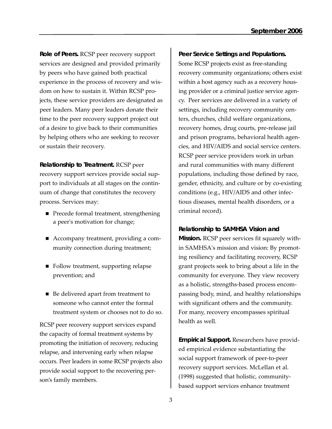*Role of Peers.* RCSP peer recovery support services are designed and provided primarily by peers who have gained both practical experience in the process of recovery and wisdom on how to sustain it. Within RCSP projects, these service providers are designated as peer leaders. Many peer leaders donate their time to the peer recovery support project out of a desire to give back to their communities by helping others who are seeking to recover or sustain their recovery.

*Relationship to Treatment.* RCSP peer recovery support services provide social support to individuals at all stages on the continuum of change that constitutes the recovery process. Services may:

- Precede formal treatment, strengthening a peer's motivation for change;
- Accompany treatment, providing a community connection during treatment;
- Follow treatment, supporting relapse prevention; and
- Be delivered apart from treatment to someone who cannot enter the formal treatment system or chooses not to do so.

RCSP peer recovery support services expand the capacity of formal treatment systems by promoting the initiation of recovery, reducing relapse, and intervening early when relapse occurs. Peer leaders in some RCSP projects also provide social support to the recovering person's family members.

*Peer Service Settings and Populations.* Some RCSP projects exist as free-standing recovery community organizations; others exist within a host agency such as a recovery housing provider or a criminal justice service agency. Peer services are delivered in a variety of settings, including recovery community centers, churches, child welfare organizations, recovery homes, drug courts, pre-release jail and prison programs, behavioral health agencies, and HIV/AIDS and social service centers. RCSP peer service providers work in urban and rural communities with many different populations, including those defined by race, gender, ethnicity, and culture or by co-existing conditions (e.g., HIV/AIDS and other infectious diseases, mental health disorders, or a criminal record).

### *Relationship to SAMHSA Vision and*

*Mission.* RCSP peer services fit squarely within SAMHSA's mission and vision: By promoting resiliency and facilitating recovery, RCSP grant projects seek to bring about a life in the community for everyone. They view recovery as a holistic, strengths-based process encompassing body, mind, and healthy relationships with significant others and the community. For many, recovery encompasses spiritual health as well.

*Empirical Support.* Researchers have provided empirical evidence substantiating the social support framework of peer-to-peer recovery support services. McLellan et al. (1998) suggested that holistic, communitybased support services enhance treatment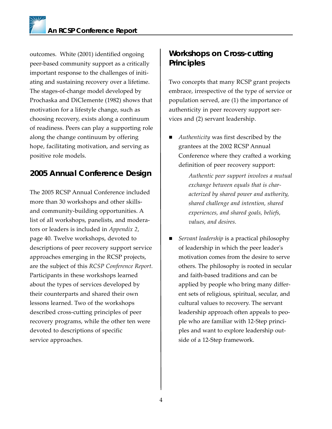outcomes. White (2001) identified ongoing peer-based community support as a critically important response to the challenges of initiating and sustaining recovery over a lifetime. The stages-of-change model developed by Prochaska and DiClemente (1982) shows that motivation for a lifestyle change, such as choosing recovery, exists along a continuum of readiness. Peers can play a supporting role along the change continuum by offering hope, facilitating motivation, and serving as positive role models.

# **2005 Annual Conference Design**

The 2005 RCSP Annual Conference included more than 30 workshops and other skillsand community-building opportunities. A list of all workshops, panelists, and moderators or leaders is included in *Appendix 2*, page 40*.* Twelve workshops, devoted to descriptions of peer recovery support service approaches emerging in the RCSP projects, are the subject of this *RCSP Conference Report.* Participants in these workshops learned about the types of services developed by their counterparts and shared their own lessons learned. Two of the workshops described cross-cutting principles of peer recovery programs, while the other ten were devoted to descriptions of specific service approaches.

# **Workshops on Cross-cutting Principles**

Two concepts that many RCSP grant projects embrace, irrespective of the type of service or population served, are (1) the importance of authenticity in peer recovery support services and (2) servant leadership.

 *Authenticity* was first described by the grantees at the 2002 RCSP Annual Conference where they crafted a working definition of peer recovery support:

> *Authentic peer support involves a mutual exchange between equals that is characterized by shared power and authority, shared challenge and intention, shared experiences, and shared goals, beliefs, values, and desires.*

 *Servant leadership* is a practical philosophy of leadership in which the peer leader's motivation comes from the desire to serve others. The philosophy is rooted in secular and faith-based traditions and can be applied by people who bring many different sets of religious, spiritual, secular, and cultural values to recovery. The servant leadership approach often appeals to people who are familiar with 12-Step principles and want to explore leadership outside of a 12-Step framework.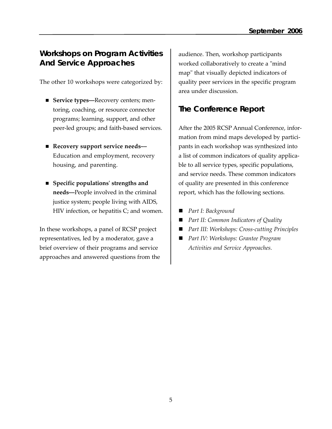### **Workshops on Program Activities And Service Approaches**

The other 10 workshops were categorized by:

- **Service types—**Recovery centers; mentoring, coaching, or resource connector programs; learning, support, and other peer-led groups; and faith-based services.
- Recovery support service needs--Education and employment, recovery housing, and parenting.
- **Specific populations' strengths and needs––**People involved in the criminal justice system; people living with AIDS, HIV infection, or hepatitis C; and women.

In these workshops, a panel of RCSP project representatives, led by a moderator, gave a brief overview of their programs and service approaches and answered questions from the audience. Then, workshop participants worked collaboratively to create a "mind map" that visually depicted indicators of quality peer services in the specific program area under discussion.

# **The Conference Report**

After the 2005 RCSP Annual Conference, information from mind maps developed by participants in each workshop was synthesized into a list of common indicators of quality applicable to all service types, specific populations, and service needs. These common indicators of quality are presented in this conference report, which has the following sections*.* 

- *Part I: Background*
- *Part II: Common Indicators of Quality*
- *Part III: Workshops: Cross-cutting Principles*
- *Part IV: Workshops: Grantee Program Activities and Service Approaches.*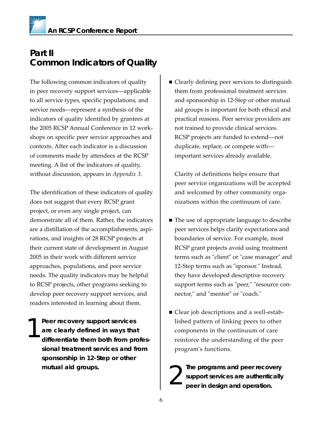# **Part II Common Indicators of Quality**

The following common indicators of quality in peer recovery support services––applicable to all service types, specific populations, and service needs––represent a synthesis of the indicators of quality identified by grantees at the 2005 RCSP Annual Conference in 12 workshops on specific peer service approaches and contexts. After each indicator is a discussion of comments made by attendees at the RCSP meeting. A list of the indicators of quality, without discussion, appears in *Appendix 3*.

The identification of these indicators of quality does not suggest that every RCSP grant project, or even any single project, can demonstrate all of them. Rather, the indicators are a distillation of the accomplishments, aspirations, and insights of 28 RCSP projects at their current state of development in August 2005 in their work with different service approaches, populations, and peer service needs. The quality indicators may be helpful to RCSP projects, other programs seeking to develop peer recovery support services, and readers interested in learning about them.

**Peer recovery support services are clearly defined in ways that differentiate them both from professional treatment services and from sponsorship in 12-Step or other mutual aid groups.** 1

■ Clearly defining peer services to distinguish them from professional treatment services and sponsorship in 12-Step or other mutual aid groups is important for both ethical and practical reasons. Peer service providers are not trained to provide clinical services. RCSP projects are funded to extend––not duplicate, replace, or compete with–– important services already available.

Clarity of definitions helps ensure that peer service organizations will be accepted and welcomed by other community organizations within the continuum of care.

- The use of appropriate language to describe peer services helps clarify expectations and boundaries of service. For example, most RCSP grant projects avoid using treatment terms such as "client" or "case manager" and 12-Step terms such as "sponsor." Instead, they have developed descriptive recovery support terms such as "peer," "resource connector," and "mentor" or "coach."
- Clear job descriptions and a well-established pattern of linking peers to other components in the continuum of care reinforce the understanding of the peer program's functions.
- **The programs and peer recovery support services are authentically peer in design and operation.** 2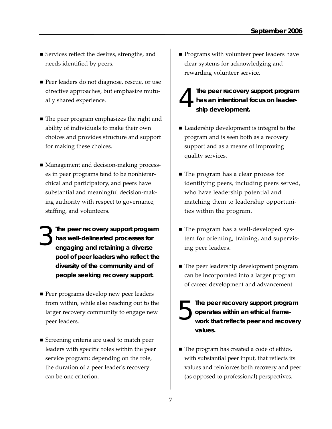- Services reflect the desires, strengths, and needs identified by peers.
- Peer leaders do not diagnose, rescue, or use directive approaches, but emphasize mutually shared experience.
- The peer program emphasizes the right and ability of individuals to make their own choices and provides structure and support for making these choices.
- Management and decision-making processes in peer programs tend to be nonhierarchical and participatory, and peers have substantial and meaningful decision-making authority with respect to governance, staffing, and volunteers.
- **The peer recovery support program has well-delineated processes for engaging and retaining a diverse pool of peer leaders who reflect the diversity of the community and of people seeking recovery support.** 3
- Peer programs develop new peer leaders from within, while also reaching out to the larger recovery community to engage new peer leaders.
- Screening criteria are used to match peer leaders with specific roles within the peer service program; depending on the role, the duration of a peer leader's recovery can be one criterion.
- **Programs with volunteer peer leaders have** clear systems for acknowledging and rewarding volunteer service.
- **The peer recovery support program has an intentional focus on leadership development.**  4
- Leadership development is integral to the program and is seen both as a recovery support and as a means of improving quality services.
- The program has a clear process for identifying peers, including peers served, who have leadership potential and matching them to leadership opportunities within the program.
- The program has a well-developed system for orienting, training, and supervising peer leaders.
- The peer leadership development program can be incorporated into a larger program of career development and advancement.
- **The peer recovery support program operates within an ethical framework that reflects peer and recovery values.** 5
- The program has created a code of ethics, with substantial peer input, that reflects its values and reinforces both recovery and peer (as opposed to professional) perspectives.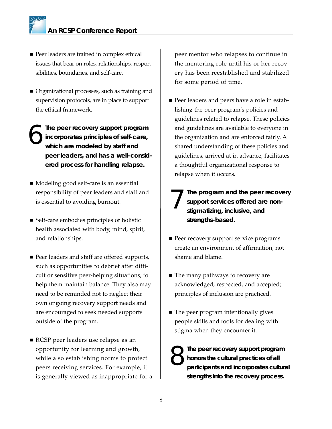- **Peer leaders are trained in complex ethical** issues that bear on roles, relationships, responsibilities, boundaries, and self-care.
- Organizational processes, such as training and supervision protocols, are in place to support the ethical framework.
- **The peer recovery support program incorporates principles of self-care, which are modeled by staff and peer leaders, and has a well-considered process for handling relapse.** 6
- Modeling good self-care is an essential responsibility of peer leaders and staff and is essential to avoiding burnout.
- Self-care embodies principles of holistic health associated with body, mind, spirit, and relationships.
- Peer leaders and staff are offered supports, such as opportunities to debrief after difficult or sensitive peer-helping situations, to help them maintain balance. They also may need to be reminded not to neglect their own ongoing recovery support needs and are encouraged to seek needed supports outside of the program.
- RCSP peer leaders use relapse as an opportunity for learning and growth, while also establishing norms to protect peers receiving services. For example, it is generally viewed as inappropriate for a

peer mentor who relapses to continue in the mentoring role until his or her recovery has been reestablished and stabilized for some period of time.

- Peer leaders and peers have a role in establishing the peer program's policies and guidelines related to relapse. These policies and guidelines are available to everyone in the organization and are enforced fairly. A shared understanding of these policies and guidelines, arrived at in advance, facilitates a thoughtful organizational response to relapse when it occurs.
- **The program and the peer recovery support services offered are nonstigmatizing, inclusive, and strengths-based.** 7
- **Peer recovery support service programs** create an environment of affirmation, not shame and blame.
- The many pathways to recovery are acknowledged, respected, and accepted; principles of inclusion are practiced.
- The peer program intentionally gives people skills and tools for dealing with stigma when they encounter it.

**The peer recovery support program honors the cultural practices of all participants and incorporates cultural strengths into the recovery process.** 8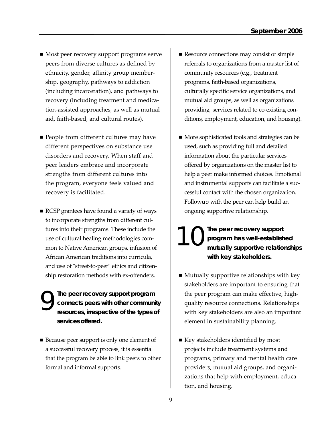- Most peer recovery support programs serve peers from diverse cultures as defined by ethnicity, gender, affinity group membership, geography, pathways to addiction (including incarceration), and pathways to recovery (including treatment and medication-assisted approaches, as well as mutual aid, faith-based, and cultural routes).
- People from different cultures may have different perspectives on substance use disorders and recovery. When staff and peer leaders embrace and incorporate strengths from different cultures into the program, everyone feels valued and recovery is facilitated.
- RCSP grantees have found a variety of ways to incorporate strengths from different cultures into their programs. These include the use of cultural healing methodologies common to Native American groups, infusion of African American traditions into curricula, and use of "street-to-peer" ethics and citizenship restoration methods with ex-offenders.
- **The peer recovery support program connects peers with other community resources, irrespective of the types of services offered.**  9
- Because peer support is only one element of a successful recovery process, it is essential that the program be able to link peers to other formal and informal supports.
- Resource connections may consist of simple referrals to organizations from a master list of community resources (e.g., treatment programs, faith-based organizations, culturally specific service organizations, and mutual aid groups, as well as organizations providing services related to co-existing conditions, employment, education, and housing).
- More sophisticated tools and strategies can be used, such as providing full and detailed information about the particular services offered by organizations on the master list to help a peer make informed choices. Emotional and instrumental supports can facilitate a successful contact with the chosen organization. Followup with the peer can help build an ongoing supportive relationship.

**The peer recovery support program has well-established mutually supportive relationships with key stakeholders.** 10

- $\blacksquare$  Mutually supportive relationships with key stakeholders are important to ensuring that the peer program can make effective, highquality resource connections. Relationships with key stakeholders are also an important element in sustainability planning.
- Key stakeholders identified by most projects include treatment systems and programs, primary and mental health care providers, mutual aid groups, and organizations that help with employment, education, and housing.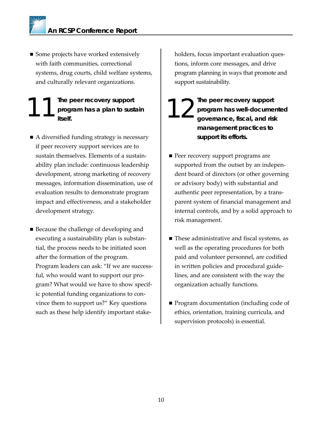Some projects have worked extensively with faith communities, correctional systems, drug courts, child welfare systems, and culturally relevant organizations.

### **The peer recovery support program has a plan to sustain itself.** The peer recovery support<br>program has a plan to sustain is a proof itself.

- A diversified funding strategy is necessary if peer recovery support services are to sustain themselves. Elements of a sustainability plan include: continuous leadership development, strong marketing of recovery messages, information dissemination, use of evaluation results to demonstrate program impact and effectiveness, and a stakeholder development strategy.
- Because the challenge of developing and executing a sustainability plan is substantial, the process needs to be initiated soon after the formation of the program. Program leaders can ask: "If we are successful, who would want to support our program? What would we have to show specific potential funding organizations to convince them to support us?" Key questions such as these help identify important stake-

holders, focus important evaluation questions, inform core messages, and drive program planning in ways that promote and support sustainability.

- **The peer recovery support program has well-documented governance, fiscal, and risk management practices to support its efforts.**
- **Peer recovery support programs are** supported from the outset by an independent board of directors (or other governing or advisory body) with substantial and authentic peer representation, by a transparent system of financial management and internal controls, and by a solid approach to risk management.
- These administrative and fiscal systems, as well as the operating procedures for both paid and volunteer personnel, are codified in written policies and procedural guidelines, and are consistent with the way the organization actually functions.
- **Program documentation (including code of** ethics, orientation, training curricula, and supervision protocols) is essential.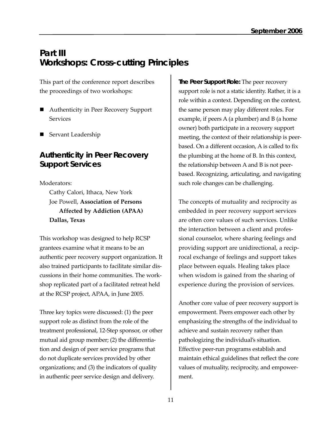# **Part III Workshops: Cross-cutting Principles**

This part of the conference report describes the proceedings of two workshops:

- Authenticity in Peer Recovery Support Services
- Servant Leadership

# **Authenticity in Peer Recovery Support Services**

Moderators:

Cathy Calori, Ithaca, New York Joe Powell, **Association of Persons Affected by Addiction (APAA) Dallas, Texas**

This workshop was designed to help RCSP grantees examine what it means to be an authentic peer recovery support organization. It also trained participants to facilitate similar discussions in their home communities. The workshop replicated part of a facilitated retreat held at the RCSP project, APAA, in June 2005.

Three key topics were discussed: (1) the peer support role as distinct from the role of the treatment professional, 12-Step sponsor, or other mutual aid group member; (2) the differentiation and design of peer service programs that do not duplicate services provided by other organizations; and (3) the indicators of quality in authentic peer service design and delivery.

*The Peer Support Role:* The peer recovery support role is not a static identity. Rather, it is a role within a context. Depending on the context, the same person may play different roles. For example, if peers A (a plumber) and B (a home owner) both participate in a recovery support meeting, the context of their relationship is peerbased. On a different occasion, A is called to fix the plumbing at the home of B. In this context, the relationship between A and B is not peerbased. Recognizing, articulating, and navigating such role changes can be challenging.

The concepts of mutuality and reciprocity as embedded in peer recovery support services are often core values of such services. Unlike the interaction between a client and professional counselor, where sharing feelings and providing support are unidirectional, a reciprocal exchange of feelings and support takes place between equals. Healing takes place when wisdom is gained from the sharing of experience during the provision of services.

Another core value of peer recovery support is empowerment. Peers empower each other by emphasizing the strengths of the individual to achieve and sustain recovery rather than pathologizing the individual's situation. Effective peer-run programs establish and maintain ethical guidelines that reflect the core values of mutuality, reciprocity, and empowerment.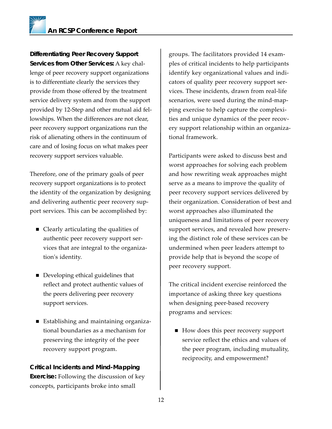*Differentiating Peer Recovery Support Services from Other Services:* A key challenge of peer recovery support organizations is to differentiate clearly the services they provide from those offered by the treatment service delivery system and from the support provided by 12-Step and other mutual aid fellowships. When the differences are not clear, peer recovery support organizations run the risk of alienating others in the continuum of care and of losing focus on what makes peer recovery support services valuable.

Therefore, one of the primary goals of peer recovery support organizations is to protect the identity of the organization by designing and delivering authentic peer recovery support services. This can be accomplished by:

- Clearly articulating the qualities of authentic peer recovery support services that are integral to the organization's identity.
- Developing ethical guidelines that reflect and protect authentic values of the peers delivering peer recovery support services.
- Establishing and maintaining organizational boundaries as a mechanism for preserving the integrity of the peer recovery support program.

### *Critical Incidents and Mind-Mapping Exercise:* Following the discussion of key concepts, participants broke into small

groups. The facilitators provided 14 examples of critical incidents to help participants identify key organizational values and indicators of quality peer recovery support services. These incidents, drawn from real-life scenarios, were used during the mind-mapping exercise to help capture the complexities and unique dynamics of the peer recovery support relationship within an organizational framework.

Participants were asked to discuss best and worst approaches for solving each problem and how rewriting weak approaches might serve as a means to improve the quality of peer recovery support services delivered by their organization. Consideration of best and worst approaches also illuminated the uniqueness and limitations of peer recovery support services, and revealed how preserving the distinct role of these services can be undermined when peer leaders attempt to provide help that is beyond the scope of peer recovery support.

The critical incident exercise reinforced the importance of asking three key questions when designing peer-based recovery programs and services:

 $\blacksquare$  How does this peer recovery support service reflect the ethics and values of the peer program, including mutuality, reciprocity, and empowerment?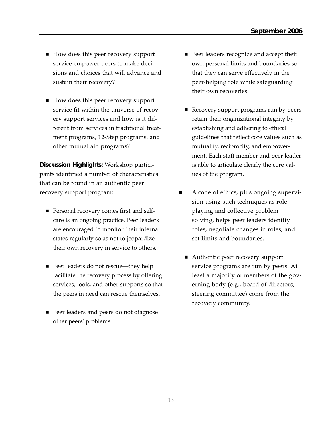- How does this peer recovery support service empower peers to make decisions and choices that will advance and sustain their recovery?
- How does this peer recovery support service fit within the universe of recovery support services and how is it different from services in traditional treatment programs, 12-Step programs, and other mutual aid programs?

*Discussion Highlights:* Workshop participants identified a number of characteristics that can be found in an authentic peer recovery support program:

- **Personal recovery comes first and self**care is an ongoing practice. Peer leaders are encouraged to monitor their internal states regularly so as not to jeopardize their own recovery in service to others.
- Peer leaders do not rescue—they help facilitate the recovery process by offering services, tools, and other supports so that the peers in need can rescue themselves.
- Peer leaders and peers do not diagnose other peers' problems.
- **Peer leaders recognize and accept their** own personal limits and boundaries so that they can serve effectively in the peer-helping role while safeguarding their own recoveries.
- Recovery support programs run by peers retain their organizational integrity by establishing and adhering to ethical guidelines that reflect core values such as mutuality, reciprocity, and empowerment. Each staff member and peer leader is able to articulate clearly the core values of the program.
- A code of ethics, plus ongoing supervision using such techniques as role playing and collective problem solving, helps peer leaders identify roles, negotiate changes in roles, and set limits and boundaries.
	- Authentic peer recovery support service programs are run by peers. At least a majority of members of the governing body (e.g., board of directors, steering committee) come from the recovery community.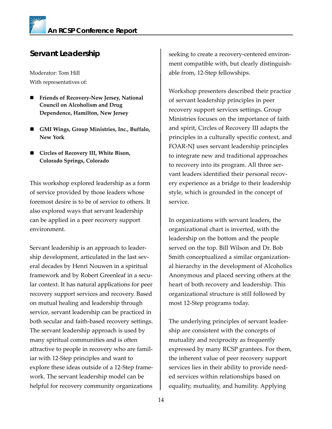# **Servant Leadership**

Moderator: Tom Hill With representatives of:

- **Friends of Recovery-New Jersey, National Council on Alcoholism and Drug Dependence, Hamilton, New Jersey**
- **GMI Wings, Group Ministries, Inc., Buffalo, New York**
- **Circles of Recovery III, White Bison, Colorado Springs, Colorado**

This workshop explored leadership as a form of service provided by those leaders whose foremost desire is to be of service to others. It also explored ways that servant leadership can be applied in a peer recovery support environment.

Servant leadership is an approach to leadership development, articulated in the last several decades by Henri Nouwen in a spiritual framework and by Robert Greenleaf in a secular context. It has natural applications for peer recovery support services and recovery. Based on mutual healing and leadership through service, servant leadership can be practiced in both secular and faith-based recovery settings. The servant leadership approach is used by many spiritual communities and is often attractive to people in recovery who are familiar with 12-Step principles and want to explore these ideas outside of a 12-Step framework. The servant leadership model can be helpful for recovery community organizations

seeking to create a recovery-centered environment compatible with, but clearly distinguishable from, 12-Step fellowships.

Workshop presenters described their practice of servant leadership principles in peer recovery support services settings. Group Ministries focuses on the importance of faith and spirit, Circles of Recovery III adapts the principles in a culturally specific context, and FOAR-NJ uses servant leadership principles to integrate new and traditional approaches to recovery into its program. All three servant leaders identified their personal recovery experience as a bridge to their leadership style, which is grounded in the concept of service.

In organizations with servant leaders, the organizational chart is inverted, with the leadership on the bottom and the people served on the top. Bill Wilson and Dr. Bob Smith conceptualized a similar organizational hierarchy in the development of Alcoholics Anonymous and placed serving others at the heart of both recovery and leadership. This organizational structure is still followed by most 12-Step programs today.

The underlying principles of servant leadership are consistent with the concepts of mutuality and reciprocity as frequently expressed by many RCSP grantees. For them, the inherent value of peer recovery support services lies in their ability to provide needed services within relationships based on equality, mutuality, and humility. Applying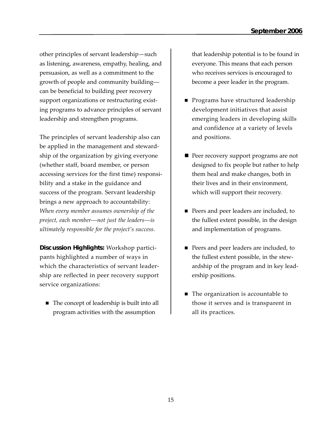other principles of servant leadership—such as listening, awareness, empathy, healing, and persuasion, as well as a commitment to the growth of people and community building–– can be beneficial to building peer recovery support organizations or restructuring existing programs to advance principles of servant leadership and strengthen programs.

The principles of servant leadership also can be applied in the management and stewardship of the organization by giving everyone (whether staff, board member, or person accessing services for the first time) responsibility and a stake in the guidance and success of the program. Servant leadership brings a new approach to accountability: *When every member assumes ownership of the project, each member––not just the leaders––is ultimately responsible for the project's success.*

*Discussion Highlights:* Workshop participants highlighted a number of ways in which the characteristics of servant leadership are reflected in peer recovery support service organizations:

■ The concept of leadership is built into all program activities with the assumption

that leadership potential is to be found in everyone. This means that each person who receives services is encouraged to become a peer leader in the program.

- **Programs have structured leadership** development initiatives that assist emerging leaders in developing skills and confidence at a variety of levels and positions.
- **Peer recovery support programs are not** designed to fix people but rather to help them heal and make changes, both in their lives and in their environment, which will support their recovery.
- Peers and peer leaders are included, to the fullest extent possible, in the design and implementation of programs.
- **Peers and peer leaders are included, to** the fullest extent possible, in the stewardship of the program and in key leadership positions.
- The organization is accountable to those it serves and is transparent in all its practices.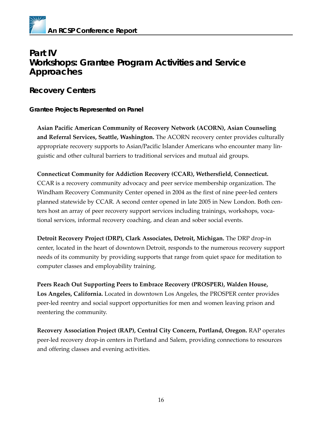

# **Part IV Workshops: Grantee Program Activities and Service Approaches**

### **Recovery Centers**

### *Grantee Projects Represented on Panel*

**Asian Pacific American Community of Recovery Network (ACORN), Asian Counseling and Referral Services, Seattle, Washington.** The ACORN recovery center provides culturally appropriate recovery supports to Asian/Pacific Islander Americans who encounter many linguistic and other cultural barriers to traditional services and mutual aid groups.

**Connecticut Community for Addiction Recovery (CCAR), Wethersfield, Connecticut.** CCAR is a recovery community advocacy and peer service membership organization. The Windham Recovery Community Center opened in 2004 as the first of nine peer-led centers planned statewide by CCAR. A second center opened in late 2005 in New London. Both centers host an array of peer recovery support services including trainings, workshops, vocational services, informal recovery coaching, and clean and sober social events.

**Detroit Recovery Project (DRP), Clark Associates, Detroit, Michigan.** The DRP drop-in center, located in the heart of downtown Detroit, responds to the numerous recovery support needs of its community by providing supports that range from quiet space for meditation to computer classes and employability training.

**Peers Reach Out Supporting Peers to Embrace Recovery (PROSPER), Walden House, Los Angeles, California.** Located in downtown Los Angeles, the PROSPER center provides peer-led reentry and social support opportunities for men and women leaving prison and reentering the community.

**Recovery Association Project (RAP), Central City Concern, Portland, Oregon.** RAP operates peer-led recovery drop-in centers in Portland and Salem, providing connections to resources and offering classes and evening activities.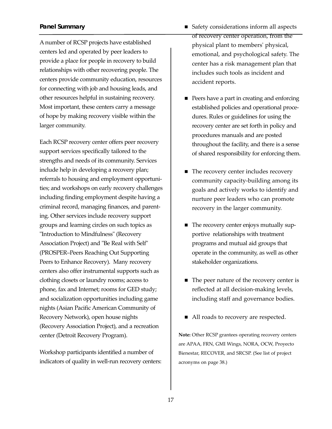### *Panel Summary*

A number of RCSP projects have established centers led and operated by peer leaders to provide a place for people in recovery to build relationships with other recovering people. The centers provide community education, resources for connecting with job and housing leads, and other resources helpful in sustaining recovery. Most important, these centers carry a message of hope by making recovery visible within the larger community.

Each RCSP recovery center offers peer recovery support services specifically tailored to the strengths and needs of its community. Services include help in developing a recovery plan; referrals to housing and employment opportunities; and workshops on early recovery challenges including finding employment despite having a criminal record, managing finances, and parenting. Other services include recovery support groups and learning circles on such topics as "Introduction to Mindfulness" (Recovery Association Project) and "Be Real with Self" (PROSPER–Peers Reaching Out Supporting Peers to Enhance Recovery). Many recovery centers also offer instrumental supports such as clothing closets or laundry rooms; access to phone, fax and Internet; rooms for GED study; and socialization opportunities including game nights (Asian Pacific American Community of Recovery Network), open house nights (Recovery Association Project), and a recreation center (Detroit Recovery Program).

Workshop participants identified a number of indicators of quality in well-run recovery centers:

- Safety considerations inform all aspects of recovery center operation, from the physical plant to members' physical, emotional, and psychological safety. The center has a risk management plan that includes such tools as incident and accident reports.
- **Peers have a part in creating and enforcing** established policies and operational procedures. Rules or guidelines for using the recovery center are set forth in policy and procedures manuals and are posted throughout the facility, and there is a sense of shared responsibility for enforcing them.
- The recovery center includes recovery community capacity-building among its goals and actively works to identify and nurture peer leaders who can promote recovery in the larger community.
- The recovery center enjoys mutually supportive relationships with treatment programs and mutual aid groups that operate in the community, as well as other stakeholder organizations.
- The peer nature of the recovery center is reflected at all decision-making levels, including staff and governance bodies.
- All roads to recovery are respected.

**Note:** Other RCSP grantees operating recovery centers are APAA, FRN, GMI Wings, NORA, OCW, Proyecto Bienestar, RECOVER, and SRCSP. (See list of project acronyms on page 38.)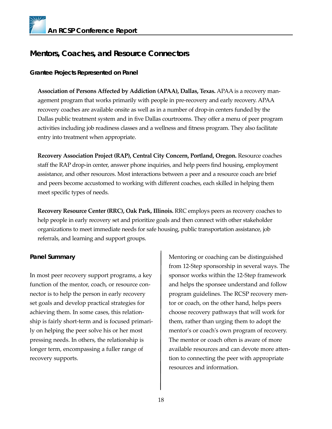# **Mentors, Coaches, and Resource Connectors**

### *Grantee Projects Represented on Panel*

**Association of Persons Affected by Addiction (APAA), Dallas, Texas.** APAA is a recovery management program that works primarily with people in pre-recovery and early recovery. APAA recovery coaches are available onsite as well as in a number of drop-in centers funded by the Dallas public treatment system and in five Dallas courtrooms. They offer a menu of peer program activities including job readiness classes and a wellness and fitness program. They also facilitate entry into treatment when appropriate.

**Recovery Association Project (RAP), Central City Concern, Portland, Oregon.** Resource coaches staff the RAP drop-in center, answer phone inquiries, and help peers find housing, employment assistance, and other resources. Most interactions between a peer and a resource coach are brief and peers become accustomed to working with different coaches, each skilled in helping them meet specific types of needs.

**Recovery Resource Center (RRC), Oak Park, Illinois.** RRC employs peers as recovery coaches to help people in early recovery set and prioritize goals and then connect with other stakeholder organizations to meet immediate needs for safe housing, public transportation assistance, job referrals, and learning and support groups.

### *Panel Summary*

In most peer recovery support programs, a key function of the mentor, coach, or resource connector is to help the person in early recovery set goals and develop practical strategies for achieving them. In some cases, this relationship is fairly short-term and is focused primarily on helping the peer solve his or her most pressing needs. In others, the relationship is longer term, encompassing a fuller range of recovery supports.

Mentoring or coaching can be distinguished from 12-Step sponsorship in several ways. The sponsor works within the 12-Step framework and helps the sponsee understand and follow program guidelines. The RCSP recovery mentor or coach, on the other hand, helps peers choose recovery pathways that will work for them, rather than urging them to adopt the mentor's or coach's own program of recovery. The mentor or coach often is aware of more available resources and can devote more attention to connecting the peer with appropriate resources and information.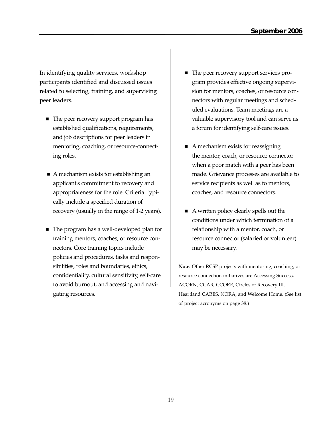In identifying quality services, workshop participants identified and discussed issues related to selecting, training, and supervising peer leaders.

- The peer recovery support program has established qualifications, requirements, and job descriptions for peer leaders in mentoring, coaching, or resource-connecting roles.
- A mechanism exists for establishing an applicant's commitment to recovery and appropriateness for the role. Criteria typically include a specified duration of recovery (usually in the range of 1-2 years).
- The program has a well-developed plan for training mentors, coaches, or resource connectors. Core training topics include policies and procedures, tasks and responsibilities, roles and boundaries, ethics, confidentiality, cultural sensitivity, self-care to avoid burnout, and accessing and navigating resources.
- The peer recovery support services program provides effective ongoing supervision for mentors, coaches, or resource connectors with regular meetings and scheduled evaluations. Team meetings are a valuable supervisory tool and can serve as a forum for identifying self-care issues.
- $\blacksquare$  A mechanism exists for reassigning the mentor, coach, or resource connector when a poor match with a peer has been made. Grievance processes are available to service recipients as well as to mentors, coaches, and resource connectors.
- A written policy clearly spells out the conditions under which termination of a relationship with a mentor, coach, or resource connector (salaried or volunteer) may be necessary.

**Note:** Other RCSP projects with mentoring, coaching, or resource connection initiatives are Accessing Success, ACORN, CCAR, CCORE, Circles of Recovery III, Heartland CARES, NORA, and Welcome Home. (See list of project acronyms on page 38.)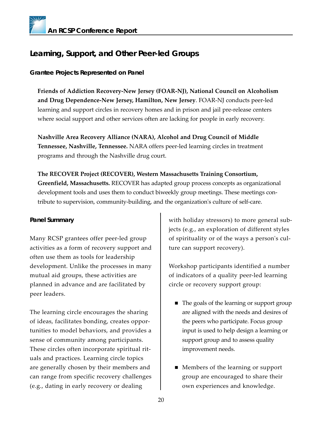# **Learning, Support, and Other Peer-led Groups**

### *Grantee Projects Represented on Panel*

**Friends of Addiction Recovery-New Jersey (FOAR-NJ), National Council on Alcoholism and Drug Dependence-New Jersey, Hamilton, New Jersey**. FOAR-NJ conducts peer-led learning and support circles in recovery homes and in prison and jail pre-release centers where social support and other services often are lacking for people in early recovery.

**Nashville Area Recovery Alliance (NARA), Alcohol and Drug Council of Middle Tennessee, Nashville, Tennessee.** NARA offers peer-led learning circles in treatment programs and through the Nashville drug court.

**The RECOVER Project (RECOVER), Western Massachusetts Training Consortium, Greenfield, Massachusetts.** RECOVER has adapted group process concepts as organizational development tools and uses them to conduct biweekly group meetings. These meetings contribute to supervision, community-building, and the organization's culture of self-care.

### *Panel Summary*

Many RCSP grantees offer peer-led group activities as a form of recovery support and often use them as tools for leadership development. Unlike the processes in many mutual aid groups, these activities are planned in advance and are facilitated by peer leaders.

The learning circle encourages the sharing of ideas, facilitates bonding, creates opportunities to model behaviors, and provides a sense of community among participants. These circles often incorporate spiritual rituals and practices. Learning circle topics are generally chosen by their members and can range from specific recovery challenges (e.g., dating in early recovery or dealing

with holiday stressors) to more general subjects (e.g., an exploration of different styles of spirituality or of the ways a person's culture can support recovery).

Workshop participants identified a number of indicators of a quality peer-led learning circle or recovery support group:

- The goals of the learning or support group are aligned with the needs and desires of the peers who participate. Focus group input is used to help design a learning or support group and to assess quality improvement needs.
- Members of the learning or support group are encouraged to share their own experiences and knowledge.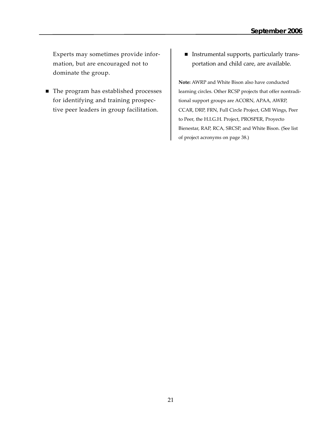Experts may sometimes provide information, but are encouraged not to dominate the group.

- The program has established processes for identifying and training prospective peer leaders in group facilitation.
- Instrumental supports, particularly transportation and child care, are available.

**Note:** AWRP and White Bison also have conducted learning circles. Other RCSP projects that offer nontraditional support groups are ACORN, APAA, AWRP, CCAR, DRP, FRN, Full Circle Project, GMI Wings, Peer to Peer, the H.I.G.H. Project, PROSPER, Proyecto Bienestar, RAP, RCA, SRCSP, and White Bison. (See list of project acronyms on page 38.)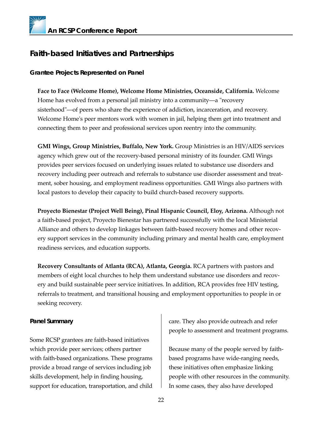# **Faith-based Initiatives and Partnerships**

### *Grantee Projects Represented on Panel*

**Face to Face (Welcome Home), Welcome Home Ministries, Oceanside, California.** Welcome Home has evolved from a personal jail ministry into a community—a "recovery sisterhood"––of peers who share the experience of addiction, incarceration, and recovery. Welcome Home's peer mentors work with women in jail, helping them get into treatment and connecting them to peer and professional services upon reentry into the community.

**GMI Wings, Group Ministries, Buffalo, New York.** Group Ministries is an HIV/AIDS services agency which grew out of the recovery-based personal ministry of its founder. GMI Wings provides peer services focused on underlying issues related to substance use disorders and recovery including peer outreach and referrals to substance use disorder assessment and treatment, sober housing, and employment readiness opportunities. GMI Wings also partners with local pastors to develop their capacity to build church-based recovery supports.

**Proyecto Bienestar (Project Well Being), Pinal Hispanic Council, Eloy, Arizona.** Although not a faith-based project, Proyecto Bienestar has partnered successfully with the local Ministerial Alliance and others to develop linkages between faith-based recovery homes and other recovery support services in the community including primary and mental health care, employment readiness services, and education supports.

**Recovery Consultants of Atlanta (RCA), Atlanta, Georgia.** RCA partners with pastors and members of eight local churches to help them understand substance use disorders and recovery and build sustainable peer service initiatives. In addition, RCA provides free HIV testing, referrals to treatment, and transitional housing and employment opportunities to people in or seeking recovery.

### *Panel Summary*

Some RCSP grantees are faith-based initiatives which provide peer services; others partner with faith-based organizations. These programs provide a broad range of services including job skills development, help in finding housing, support for education, transportation, and child care. They also provide outreach and refer people to assessment and treatment programs.

Because many of the people served by faithbased programs have wide-ranging needs, these initiatives often emphasize linking people with other resources in the community. In some cases, they also have developed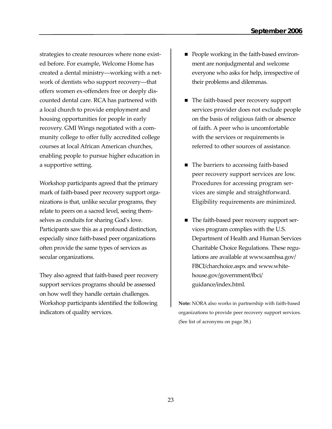strategies to create resources where none existed before. For example, Welcome Home has created a dental ministry––working with a network of dentists who support recovery---offers women ex-offenders free or deeply discounted dental care. RCA has partnered with a local church to provide employment and housing opportunities for people in early recovery. GMI Wings negotiated with a community college to offer fully accredited college courses at local African American churches, enabling people to pursue higher education in a supportive setting.

Workshop participants agreed that the primary mark of faith-based peer recovery support organizations is that, unlike secular programs, they relate to peers on a sacred level, seeing themselves as conduits for sharing God's love. Participants saw this as a profound distinction, especially since faith-based peer organizations often provide the same types of services as secular organizations.

They also agreed that faith-based peer recovery support services programs should be assessed on how well they handle certain challenges. Workshop participants identified the following indicators of quality services.

- **People working in the faith-based environ**ment are nonjudgmental and welcome everyone who asks for help, irrespective of their problems and dilemmas.
- The faith-based peer recovery support services provider does not exclude people on the basis of religious faith or absence of faith. A peer who is uncomfortable with the services or requirements is referred to other sources of assistance.
- The barriers to accessing faith-based peer recovery support services are low. Procedures for accessing program services are simple and straightforward. Eligibility requirements are minimized.
- The faith-based peer recovery support services program complies with the U.S. Department of Health and Human Services Charitable Choice Regulations. These regulations are available at www.samhsa.gov/ FBCI/charchoice.aspx and www.whitehouse.gov/government/fbci/ guidance/index.html.

**Note:** NORA also works in partnership with faith-based organizations to provide peer recovery support services. (See list of acronyms on page 38.)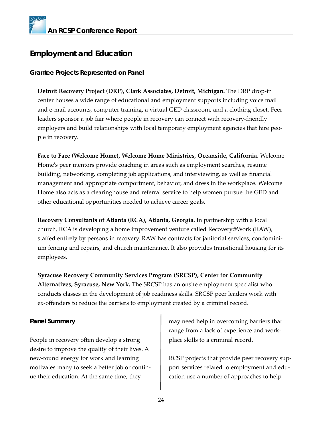# **Employment and Education**

### *Grantee Projects Represented on Panel*

**Detroit Recovery Project (DRP), Clark Associates, Detroit, Michigan.** The DRP drop-in center houses a wide range of educational and employment supports including voice mail and e-mail accounts, computer training, a virtual GED classroom, and a clothing closet. Peer leaders sponsor a job fair where people in recovery can connect with recovery-friendly employers and build relationships with local temporary employment agencies that hire people in recovery.

**Face to Face (Welcome Home), Welcome Home Ministries, Oceanside, California.** Welcome Home's peer mentors provide coaching in areas such as employment searches, resume building, networking, completing job applications, and interviewing, as well as financial management and appropriate comportment, behavior, and dress in the workplace. Welcome Home also acts as a clearinghouse and referral service to help women pursue the GED and other educational opportunities needed to achieve career goals.

**Recovery Consultants of Atlanta (RCA), Atlanta, Georgia.** In partnership with a local church, RCA is developing a home improvement venture called Recovery@Work (RAW), staffed entirely by persons in recovery. RAW has contracts for janitorial services, condominium fencing and repairs, and church maintenance. It also provides transitional housing for its employees.

**Syracuse Recovery Community Services Program (SRCSP), Center for Community Alternatives, Syracuse, New York.** The SRCSP has an onsite employment specialist who conducts classes in the development of job readiness skills. SRCSP peer leaders work with ex-offenders to reduce the barriers to employment created by a criminal record.

### *Panel Summary*

People in recovery often develop a strong desire to improve the quality of their lives. A new-found energy for work and learning motivates many to seek a better job or continue their education. At the same time, they

may need help in overcoming barriers that range from a lack of experience and workplace skills to a criminal record.

RCSP projects that provide peer recovery support services related to employment and education use a number of approaches to help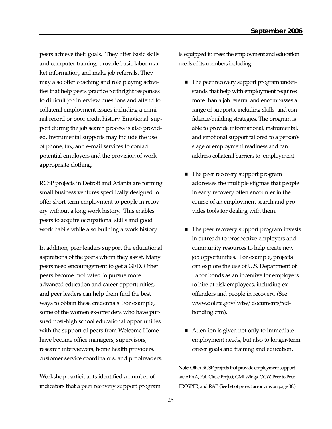peers achieve their goals. They offer basic skills and computer training, provide basic labor market information, and make job referrals. They may also offer coaching and role playing activities that help peers practice forthright responses to difficult job interview questions and attend to collateral employment issues including a criminal record or poor credit history. Emotional support during the job search process is also provided. Instrumental supports may include the use of phone, fax, and e-mail services to contact potential employers and the provision of workappropriate clothing.

RCSP projects in Detroit and Atlanta are forming small business ventures specifically designed to offer short-term employment to people in recovery without a long work history. This enables peers to acquire occupational skills and good work habits while also building a work history.

In addition, peer leaders support the educational aspirations of the peers whom they assist. Many peers need encouragement to get a GED. Other peers become motivated to pursue more advanced education and career opportunities, and peer leaders can help them find the best ways to obtain these credentials. For example, some of the women ex-offenders who have pursued post-high school educational opportunities with the support of peers from Welcome Home have become office managers, supervisors, research interviewers, home health providers, customer service coordinators, and proofreaders.

Workshop participants identified a number of indicators that a peer recovery support program is equipped to meet the employment and education needs of its members including:

- The peer recovery support program understands that help with employment requires more than a job referral and encompasses a range of supports, including skills- and confidence-building strategies. The program is able to provide informational, instrumental, and emotional support tailored to a person's stage of employment readiness and can address collateral barriers to employment.
- The peer recovery support program addresses the multiple stigmas that people in early recovery often encounter in the course of an employment search and provides tools for dealing with them.
- The peer recovery support program invests in outreach to prospective employers and community resources to help create new job opportunities. For example, projects can explore the use of U.S. Department of Labor bonds as an incentive for employers to hire at-risk employees, including exoffenders and people in recovery. (See www.doleta.gov/ wtw/ documents/fedbonding.cfm).
- Attention is given not only to immediate employment needs, but also to longer-term career goals and training and education.

**Note:**Other RCSP projects that provide employment support are APAA, Full Circle Project, GMI Wings, OCW, Peer to Peer, PROSPER, and RAP. (See list of project acronyms on page 38.)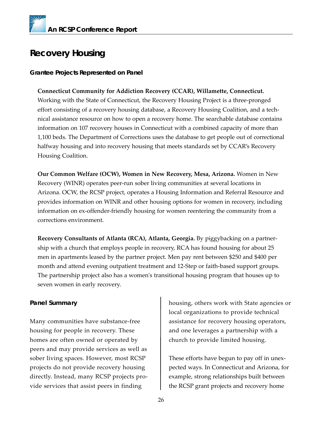# **Recovery Housing**

### *Grantee Projects Represented on Panel*

### **Connecticut Community for Addiction Recovery (CCAR), Willamette, Connecticut.**

Working with the State of Connecticut, the Recovery Housing Project is a three-pronged effort consisting of a recovery housing database, a Recovery Housing Coalition, and a technical assistance resource on how to open a recovery home. The searchable database contains information on 107 recovery houses in Connecticut with a combined capacity of more than 1,100 beds. The Department of Corrections uses the database to get people out of correctional halfway housing and into recovery housing that meets standards set by CCAR's Recovery Housing Coalition.

**Our Common Welfare (OCW), Women in New Recovery, Mesa, Arizona.** Women in New Recovery (WINR) operates peer-run sober living communities at several locations in Arizona. OCW, the RCSP project, operates a Housing Information and Referral Resource and provides information on WINR and other housing options for women in recovery, including information on ex-offender-friendly housing for women reentering the community from a corrections environment.

**Recovery Consultants of Atlanta (RCA), Atlanta, Georgia.** By piggybacking on a partnership with a church that employs people in recovery, RCA has found housing for about 25 men in apartments leased by the partner project. Men pay rent between \$250 and \$400 per month and attend evening outpatient treatment and 12-Step or faith-based support groups. The partnership project also has a women's transitional housing program that houses up to seven women in early recovery.

### *Panel Summary*

Many communities have substance-free housing for people in recovery. These homes are often owned or operated by peers and may provide services as well as sober living spaces. However, most RCSP projects do not provide recovery housing directly. Instead, many RCSP projects provide services that assist peers in finding

housing, others work with State agencies or local organizations to provide technical assistance for recovery housing operators, and one leverages a partnership with a church to provide limited housing.

These efforts have begun to pay off in unexpected ways. In Connecticut and Arizona, for example, strong relationships built between the RCSP grant projects and recovery home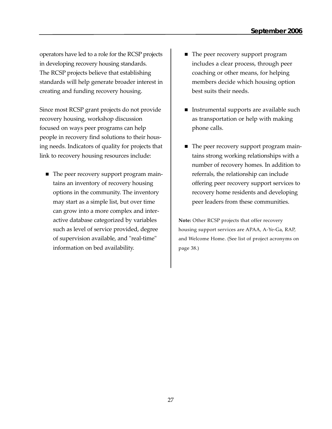operators have led to a role for the RCSP projects in developing recovery housing standards. The RCSP projects believe that establishing standards will help generate broader interest in creating and funding recovery housing.

Since most RCSP grant projects do not provide recovery housing, workshop discussion focused on ways peer programs can help people in recovery find solutions to their housing needs. Indicators of quality for projects that link to recovery housing resources include:

■ The peer recovery support program maintains an inventory of recovery housing options in the community. The inventory may start as a simple list, but over time can grow into a more complex and interactive database categorized by variables such as level of service provided, degree of supervision available, and "real-time" information on bed availability.

- The peer recovery support program includes a clear process, through peer coaching or other means, for helping members decide which housing option best suits their needs.
- **Instrumental supports are available such** as transportation or help with making phone calls.
- The peer recovery support program maintains strong working relationships with a number of recovery homes. In addition to referrals, the relationship can include offering peer recovery support services to recovery home residents and developing peer leaders from these communities.

**Note:** Other RCSP projects that offer recovery housing support services are APAA, A-Ye-Ga, RAP, and Welcome Home. (See list of project acronyms on page 38.)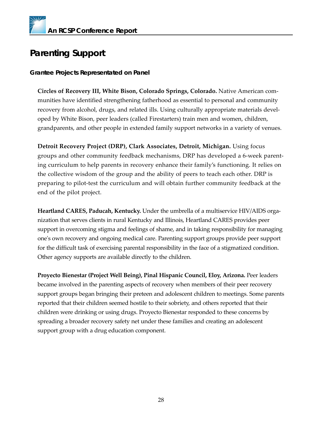# **Parenting Support**

### *Grantee Projects Representated on Panel*

**Circles of Recovery III, White Bison, Colorado Springs, Colorado.** Native American communities have identified strengthening fatherhood as essential to personal and community recovery from alcohol, drugs, and related ills. Using culturally appropriate materials developed by White Bison, peer leaders (called Firestarters) train men and women, children, grandparents, and other people in extended family support networks in a variety of venues.

**Detroit Recovery Project (DRP), Clark Associates, Detroit, Michigan.** Using focus groups and other community feedback mechanisms, DRP has developed a 6-week parenting curriculum to help parents in recovery enhance their family's functioning. It relies on the collective wisdom of the group and the ability of peers to teach each other. DRP is preparing to pilot-test the curriculum and will obtain further community feedback at the end of the pilot project.

**Heartland CARES, Paducah, Kentucky.** Under the umbrella of a multiservice HIV/AIDS organization that serves clients in rural Kentucky and Illinois, Heartland CARES provides peer support in overcoming stigma and feelings of shame, and in taking responsibility for managing one's own recovery and ongoing medical care. Parenting support groups provide peer support for the difficult task of exercising parental responsibility in the face of a stigmatized condition. Other agency supports are available directly to the children.

**Proyecto Bienestar (Project Well Being), Pinal Hispanic Council, Eloy, Arizona.** Peer leaders became involved in the parenting aspects of recovery when members of their peer recovery support groups began bringing their preteen and adolescent children to meetings. Some parents reported that their children seemed hostile to their sobriety, and others reported that their children were drinking or using drugs. Proyecto Bienestar responded to these concerns by spreading a broader recovery safety net under these families and creating an adolescent support group with a drug education component.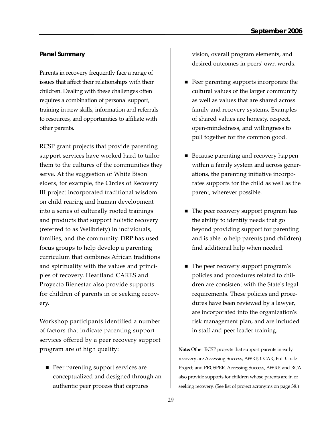### *Panel Summary*

Parents in recovery frequently face a range of issues that affect their relationships with their children. Dealing with these challenges often requires a combination of personal support, training in new skills, information and referrals to resources, and opportunities to affiliate with other parents.

RCSP grant projects that provide parenting support services have worked hard to tailor them to the cultures of the communities they serve. At the suggestion of White Bison elders, for example, the Circles of Recovery III project incorporated traditional wisdom on child rearing and human development into a series of culturally rooted trainings and products that support holistic recovery (referred to as Wellbriety) in individuals, families, and the community. DRP has used focus groups to help develop a parenting curriculum that combines African traditions and spirituality with the values and principles of recovery. Heartland CARES and Proyecto Bienestar also provide supports for children of parents in or seeking recovery.

Workshop participants identified a number of factors that indicate parenting support services offered by a peer recovery support program are of high quality:

**Peer parenting support services are** conceptualized and designed through an authentic peer process that captures

vision, overall program elements, and desired outcomes in peers' own words.

- **Peer parenting supports incorporate the** cultural values of the larger community as well as values that are shared across family and recovery systems. Examples of shared values are honesty, respect, open-mindedness, and willingness to pull together for the common good.
- Because parenting and recovery happen within a family system and across generations, the parenting initiative incorporates supports for the child as well as the parent, wherever possible.
- The peer recovery support program has the ability to identify needs that go beyond providing support for parenting and is able to help parents (and children) find additional help when needed.
- The peer recovery support program's policies and procedures related to children are consistent with the State's legal requirements. These policies and procedures have been reviewed by a lawyer, are incorporated into the organization's risk management plan, and are included in staff and peer leader training.

**Note:** Other RCSP projects that support parents in early recovery are Accessing Success, AWRP, CCAR, Full Circle Project, and PROSPER. Accessing Success, AWRP, and RCA also provide supports for children whose parents are in or seeking recovery. (See list of project acronyms on page 38.)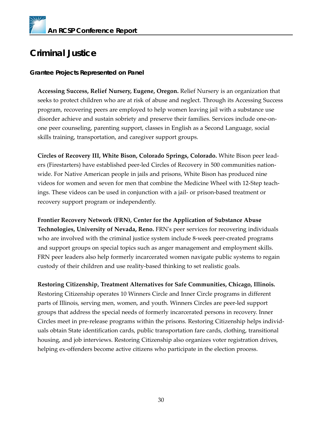# **Criminal Justice**

### *Grantee Projects Represented on Panel*

**Accessing Success, Relief Nursery, Eugene, Oregon.** Relief Nursery is an organization that seeks to protect children who are at risk of abuse and neglect. Through its Accessing Success program, recovering peers are employed to help women leaving jail with a substance use disorder achieve and sustain sobriety and preserve their families. Services include one-onone peer counseling, parenting support, classes in English as a Second Language, social skills training, transportation, and caregiver support groups.

**Circles of Recovery III, White Bison, Colorado Springs, Colorado.** White Bison peer leaders (Firestarters) have established peer-led Circles of Recovery in 500 communities nationwide. For Native American people in jails and prisons, White Bison has produced nine videos for women and seven for men that combine the Medicine Wheel with 12-Step teachings. These videos can be used in conjunction with a jail- or prison-based treatment or recovery support program or independently.

**Frontier Recovery Network (FRN), Center for the Application of Substance Abuse Technologies, University of Nevada, Reno.** FRN's peer services for recovering individuals who are involved with the criminal justice system include 8-week peer-created programs and support groups on special topics such as anger management and employment skills. FRN peer leaders also help formerly incarcerated women navigate public systems to regain custody of their children and use reality-based thinking to set realistic goals.

**Restoring Citizenship, Treatment Alternatives for Safe Communities, Chicago, Illinois.** Restoring Citizenship operates 10 Winners Circle and Inner Circle programs in different parts of Illinois, serving men, women, and youth. Winners Circles are peer-led support groups that address the special needs of formerly incarcerated persons in recovery. Inner Circles meet in pre-release programs within the prisons. Restoring Citizenship helps individuals obtain State identification cards, public transportation fare cards, clothing, transitional housing, and job interviews. Restoring Citizenship also organizes voter registration drives, helping ex-offenders become active citizens who participate in the election process.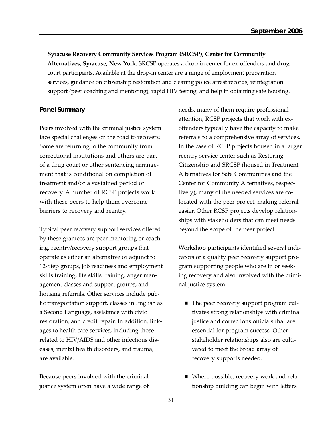**Syracuse Recovery Community Services Program (SRCSP), Center for Community Alternatives, Syracuse, New York.** SRCSP operates a drop-in center for ex-offenders and drug court participants. Available at the drop-in center are a range of employment preparation services, guidance on citizenship restoration and clearing police arrest records, reintegration support (peer coaching and mentoring), rapid HIV testing, and help in obtaining safe housing.

### *Panel Summary*

Peers involved with the criminal justice system face special challenges on the road to recovery. Some are returning to the community from correctional institutions and others are part of a drug court or other sentencing arrangement that is conditional on completion of treatment and/or a sustained period of recovery. A number of RCSP projects work with these peers to help them overcome barriers to recovery and reentry.

Typical peer recovery support services offered by these grantees are peer mentoring or coaching, reentry/recovery support groups that operate as either an alternative or adjunct to 12-Step groups, job readiness and employment skills training, life skills training, anger management classes and support groups, and housing referrals. Other services include public transportation support, classes in English as a Second Language, assistance with civic restoration, and credit repair. In addition, linkages to health care services, including those related to HIV/AIDS and other infectious diseases, mental health disorders, and trauma, are available.

Because peers involved with the criminal justice system often have a wide range of needs, many of them require professional attention, RCSP projects that work with exoffenders typically have the capacity to make referrals to a comprehensive array of services. In the case of RCSP projects housed in a larger reentry service center such as Restoring Citizenship and SRCSP (housed in Treatment Alternatives for Safe Communities and the Center for Community Alternatives, respectively), many of the needed services are colocated with the peer project, making referral easier. Other RCSP projects develop relationships with stakeholders that can meet needs beyond the scope of the peer project.

Workshop participants identified several indicators of a quality peer recovery support program supporting people who are in or seeking recovery and also involved with the criminal justice system:

- The peer recovery support program cultivates strong relationships with criminal justice and corrections officials that are essential for program success. Other stakeholder relationships also are cultivated to meet the broad array of recovery supports needed.
- Where possible, recovery work and relationship building can begin with letters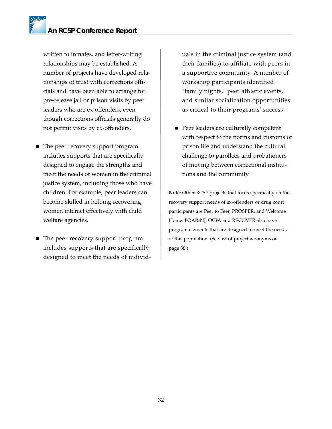written to inmates, and letter-writing relationships may be established. A number of projects have developed relationships of trust with corrections officials and have been able to arrange for pre-release jail or prison visits by peer leaders who are ex-offenders, even though corrections officials generally do not permit visits by ex-offenders.

- The peer recovery support program includes supports that are specifically designed to engage the strengths and meet the needs of women in the criminal justice system, including those who have children. For example, peer leaders can become skilled in helping recovering women interact effectively with child welfare agencies.
- The peer recovery support program includes supports that are specifically designed to meet the needs of individ-

uals in the criminal justice system (and their families) to affiliate with peers in a supportive community. A number of workshop participants identified "family nights," peer athletic events, and similar socialization opportunities as critical to their programs' success.

■ Peer leaders are culturally competent with respect to the norms and customs of prison life and understand the cultural challenge to parollees and probationers of moving between correctional institutions and the community.

**Note:** Other RCSP projects that focus specifically on the recovery support needs of ex-offenders or drug court participants are Peer to Peer, PROSPER, and Welcome Home. FOAR-NJ, OCW, and RECOVER also have program elements that are designed to meet the needs of this population. (See list of project acronyms on page 38.)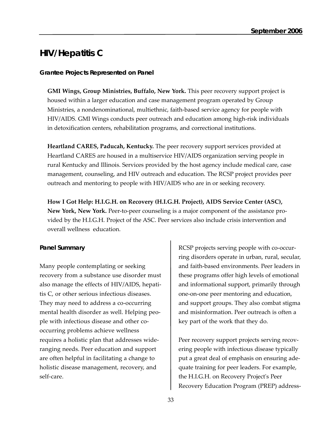# **HIV/Hepatitis C**

### *Grantee Projects Represented on Panel*

**GMI Wings, Group Ministries, Buffalo, New York.** This peer recovery support project is housed within a larger education and case management program operated by Group Ministries, a nondenominational, multiethnic, faith-based service agency for people with HIV/AIDS. GMI Wings conducts peer outreach and education among high-risk individuals in detoxification centers, rehabilitation programs, and correctional institutions.

**Heartland CARES, Paducah, Kentucky.** The peer recovery support services provided at Heartland CARES are housed in a multiservice HIV/AIDS organization serving people in rural Kentucky and Illinois. Services provided by the host agency include medical care, case management, counseling, and HIV outreach and education. The RCSP project provides peer outreach and mentoring to people with HIV/AIDS who are in or seeking recovery.

**How I Got Help: H.I.G.H. on Recovery (H.I.G.H. Project), AIDS Service Center (ASC), New York, New York.** Peer-to-peer counseling is a major component of the assistance provided by the H.I.G.H. Project of the ASC. Peer services also include crisis intervention and overall wellness education.

### *Panel Summary*

Many people contemplating or seeking recovery from a substance use disorder must also manage the effects of HIV/AIDS, hepatitis C, or other serious infectious diseases. They may need to address a co-occurring mental health disorder as well. Helping people with infectious disease and other cooccurring problems achieve wellness requires a holistic plan that addresses wideranging needs. Peer education and support are often helpful in facilitating a change to holistic disease management, recovery, and self-care.

RCSP projects serving people with co-occurring disorders operate in urban, rural, secular, and faith-based environments. Peer leaders in these programs offer high levels of emotional and informational support, primarily through one-on-one peer mentoring and education, and support groups. They also combat stigma and misinformation. Peer outreach is often a key part of the work that they do.

Peer recovery support projects serving recovering people with infectious disease typically put a great deal of emphasis on ensuring adequate training for peer leaders. For example, the H.I.G.H. on Recovery Project's Peer Recovery Education Program (PREP) address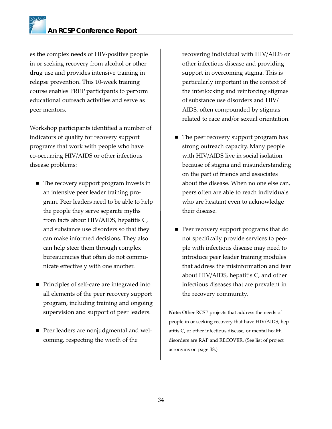es the complex needs of HIV-positive people in or seeking recovery from alcohol or other drug use and provides intensive training in relapse prevention. This 10-week training course enables PREP participants to perform educational outreach activities and serve as peer mentors.

Workshop participants identified a number of indicators of quality for recovery support programs that work with people who have co-occurring HIV/AIDS or other infectious disease problems:

- The recovery support program invests in an intensive peer leader training program. Peer leaders need to be able to help the people they serve separate myths from facts about HIV/AIDS, hepatitis C, and substance use disorders so that they can make informed decisions. They also can help steer them through complex bureaucracies that often do not communicate effectively with one another.
- Principles of self-care are integrated into all elements of the peer recovery support program, including training and ongoing supervision and support of peer leaders.
- **Peer leaders are nonjudgmental and wel**coming, respecting the worth of the

recovering individual with HIV/AIDS or other infectious disease and providing support in overcoming stigma. This is particularly important in the context of the interlocking and reinforcing stigmas of substance use disorders and HIV/ AIDS, often compounded by stigmas related to race and/or sexual orientation.

- The peer recovery support program has strong outreach capacity. Many people with HIV/AIDS live in social isolation because of stigma and misunderstanding on the part of friends and associates about the disease. When no one else can, peers often are able to reach individuals who are hesitant even to acknowledge their disease.
- Peer recovery support programs that do not specifically provide services to people with infectious disease may need to introduce peer leader training modules that address the misinformation and fear about HIV/AIDS, hepatitis C, and other infectious diseases that are prevalent in the recovery community.

**Note:** Other RCSP projects that address the needs of people in or seeking recovery that have HIV/AIDS, hepatitis C, or other infectious disease, or mental health disorders are RAP and RECOVER. (See list of project acronyms on page 38.)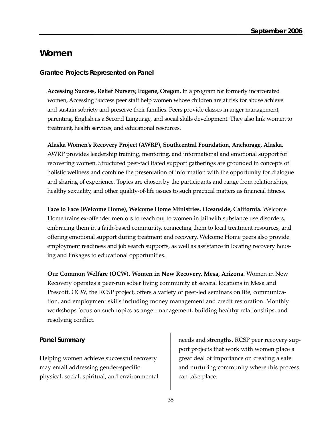### **Women**

### *Grantee Projects Represented on Panel*

**Accessing Success, Relief Nursery, Eugene, Oregon.** In a program for formerly incarcerated women, Accessing Success peer staff help women whose children are at risk for abuse achieve and sustain sobriety and preserve their families. Peers provide classes in anger management, parenting, English as a Second Language, and social skills development. They also link women to treatment, health services, and educational resources.

**Alaska Women's Recovery Project (AWRP), Southcentral Foundation, Anchorage, Alaska.** AWRP provides leadership training, mentoring, and informational and emotional support for recovering women. Structured peer-facilitated support gatherings are grounded in concepts of holistic wellness and combine the presentation of information with the opportunity for dialogue and sharing of experience. Topics are chosen by the participants and range from relationships, healthy sexuality, and other quality-of-life issues to such practical matters as financial fitness.

**Face to Face (Welcome Home), Welcome Home Ministries, Oceanside, California.** Welcome Home trains ex-offender mentors to reach out to women in jail with substance use disorders, embracing them in a faith-based community, connecting them to local treatment resources, and offering emotional support during treatment and recovery. Welcome Home peers also provide employment readiness and job search supports, as well as assistance in locating recovery housing and linkages to educational opportunities.

**Our Common Welfare (OCW), Women in New Recovery, Mesa, Arizona.** Women in New Recovery operates a peer-run sober living community at several locations in Mesa and Prescott. OCW, the RCSP project, offers a variety of peer-led seminars on life, communication, and employment skills including money management and credit restoration. Monthly workshops focus on such topics as anger management, building healthy relationships, and resolving conflict.

### *Panel Summary*

Helping women achieve successful recovery may entail addressing gender-specific physical, social, spiritual, and environmental needs and strengths. RCSP peer recovery support projects that work with women place a great deal of importance on creating a safe and nurturing community where this process can take place.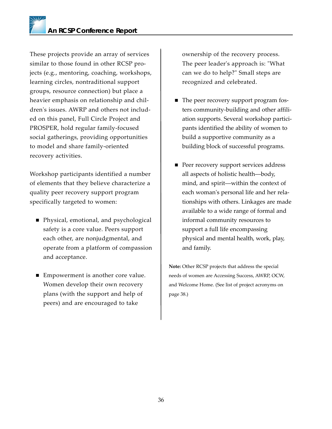These projects provide an array of services similar to those found in other RCSP projects (e.g., mentoring, coaching, workshops, learning circles, nontraditional support groups, resource connection) but place a heavier emphasis on relationship and children's issues. AWRP and others not included on this panel, Full Circle Project and PROSPER, hold regular family-focused social gatherings, providing opportunities to model and share family-oriented recovery activities.

Workshop participants identified a number of elements that they believe characterize a quality peer recovery support program specifically targeted to women:

- Physical, emotional, and psychological safety is a core value. Peers support each other, are nonjudgmental, and operate from a platform of compassion and acceptance.
- Empowerment is another core value. Women develop their own recovery plans (with the support and help of peers) and are encouraged to take

ownership of the recovery process. The peer leader's approach is: "What can we do to help?" Small steps are recognized and celebrated.

- The peer recovery support program fosters community-building and other affiliation supports. Several workshop participants identified the ability of women to build a supportive community as a building block of successful programs.
- **Peer recovery support services address** all aspects of holistic health––body, mind, and spirit––within the context of each woman's personal life and her relationships with others. Linkages are made available to a wide range of formal and informal community resources to support a full life encompassing physical and mental health, work, play, and family.

**Note:** Other RCSP projects that address the special needs of women are Accessing Success, AWRP, OCW, and Welcome Home. (See list of project acronyms on page 38.)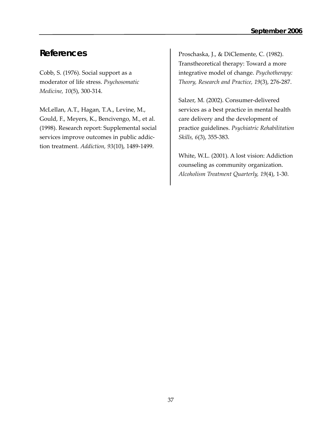# **References**

Cobb, S. (1976). Social support as a moderator of life stress. *Psychosomatic Medicine, 10*(5), 300-314.

McLellan, A.T., Hagan, T.A., Levine, M., Gould, F., Meyers, K., Bencivengo, M., et al. (1998). Research report: Supplemental social services improve outcomes in public addiction treatment. *Addiction, 93*(10), 1489-1499.

Proschaska, J., & DiClemente, C. (1982). Transtheoretical therapy: Toward a more integrative model of change. *Psychotherapy: Theory, Research and Practice, 19*(3), 276-287.

Salzer, M. (2002). Consumer-delivered services as a best practice in mental health care delivery and the development of practice guidelines. *Psychiatric Rehabilitation Skills, 6*(3), 355-383.

White, W.L. (2001). A lost vision: Addiction counseling as community organization. *Alcoholism Treatment Quarterly, 19*(4), 1-30.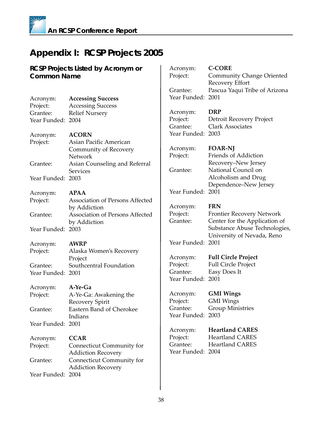# **Appendix I: RCSP Projects 2005**

| <b>RCSP Projects Listed by Acronym or</b> |                                    | Acronym:             | <b>C-CORE</b>                                                  |
|-------------------------------------------|------------------------------------|----------------------|----------------------------------------------------------------|
| <b>Common Name</b>                        |                                    | Project:             | Community Change Oriented                                      |
|                                           |                                    |                      | Recovery Effort                                                |
|                                           |                                    | Grantee:             | Pascua Yaqui Tribe of Arizona                                  |
| Acronym:                                  | <b>Accessing Success</b>           | Year Funded: 2001    |                                                                |
| Project:                                  | <b>Accessing Success</b>           |                      |                                                                |
| Grantee:                                  | <b>Relief Nursery</b>              | Acronym:             | <b>DRP</b>                                                     |
| Year Funded: 2004                         |                                    | Project:             | Detroit Recovery Project                                       |
|                                           |                                    | Grantee:             | <b>Clark Associates</b>                                        |
| Acronym:                                  | <b>ACORN</b>                       | Year Funded: 2003    |                                                                |
| Project:                                  | Asian Pacific American             |                      |                                                                |
|                                           | Community of Recovery              | Acronym:             | <b>FOAR-NJ</b>                                                 |
|                                           | Network                            | Project:             | Friends of Addiction                                           |
| Grantee:                                  | Asian Counseling and Referral      |                      | Recovery-New Jersey                                            |
|                                           | <b>Services</b>                    | Grantee:             | National Council on                                            |
| Year Funded: 2003                         |                                    |                      | Alcoholism and Drug                                            |
|                                           |                                    |                      | Dependence-New Jersey                                          |
| Acronym:                                  | <b>APAA</b>                        | Year Funded: 2001    |                                                                |
| Project:                                  | Association of Persons Affected    |                      |                                                                |
|                                           | by Addiction                       | Acronym:             | <b>FRN</b>                                                     |
| Grantee:                                  | Association of Persons Affected    | Project:<br>Grantee: | <b>Frontier Recovery Network</b>                               |
|                                           | by Addiction                       |                      | Center for the Application of<br>Substance Abuse Technologies, |
| Year Funded: 2003                         |                                    |                      | University of Nevada, Reno                                     |
|                                           | <b>AWRP</b>                        | Year Funded: 2001    |                                                                |
| Acronym:                                  |                                    |                      |                                                                |
| Project:                                  | Alaska Women's Recovery<br>Project | Acronym:             | <b>Full Circle Project</b>                                     |
| Grantee:                                  | Southcentral Foundation            | Project:             | <b>Full Circle Project</b>                                     |
| Year Funded: 2001                         |                                    | Grantee:             | Easy Does It                                                   |
|                                           |                                    | Year Funded: 2001    |                                                                |
| Acronym:                                  | A-Ye-Ga                            |                      |                                                                |
| Project:                                  | A-Ye-Ga: Awakening the             | Acronym:             | <b>GMI</b> Wings                                               |
|                                           | Recovery Spirit                    | Project:             | <b>GMI</b> Wings                                               |
| Grantee:                                  | Eastern Band of Cherokee           | Grantee:             | <b>Group Ministries</b>                                        |
|                                           | Indians                            | Year Funded: 2003    |                                                                |
| Year Funded: 2001                         |                                    |                      |                                                                |
|                                           |                                    | Acronym:             | <b>Heartland CARES</b>                                         |
| Acronym:                                  | <b>CCAR</b>                        | Project:             | <b>Heartland CARES</b>                                         |
| Project:                                  | Connecticut Community for          | Grantee:             | <b>Heartland CARES</b>                                         |
|                                           | <b>Addiction Recovery</b>          | Year Funded: 2004    |                                                                |
| Grantee:                                  | Connecticut Community for          |                      |                                                                |
|                                           | <b>Addiction Recovery</b>          |                      |                                                                |
| Year Funded: 2004                         |                                    |                      |                                                                |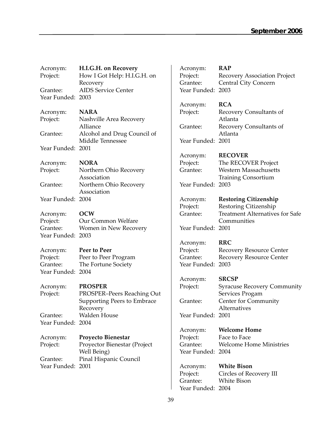| Acronym:          | H.I.G.H. on Recovery         | Acronym:          | <b>RAP</b>                                            |
|-------------------|------------------------------|-------------------|-------------------------------------------------------|
| Project:          | How I Got Help: H.I.G.H. on  | Project:          | Recovery Association Project                          |
|                   | Recovery                     | Grantee:          | Central City Concern                                  |
| Grantee:          | <b>AIDS Service Center</b>   | Year Funded: 2003 |                                                       |
| Year Funded: 2003 |                              |                   |                                                       |
|                   |                              | Acronym:          | <b>RCA</b>                                            |
| Acronym:          | <b>NARA</b>                  | Project:          | Recovery Consultants of                               |
| Project:          | Nashville Area Recovery      |                   | Atlanta                                               |
|                   | Alliance                     | Grantee:          | Recovery Consultants of                               |
| Grantee:          | Alcohol and Drug Council of  |                   | Atlanta                                               |
|                   | Middle Tennessee             | Year Funded: 2001 |                                                       |
| Year Funded: 2001 |                              |                   |                                                       |
|                   |                              | Acronym:          | <b>RECOVER</b>                                        |
| Acronym:          | <b>NORA</b>                  | Project:          | The RECOVER Project                                   |
| Project:          | Northern Ohio Recovery       | Grantee:          | <b>Western Massachusetts</b>                          |
|                   | Association                  |                   | <b>Training Consortium</b>                            |
| Grantee:          | Northern Ohio Recovery       | Year Funded: 2003 |                                                       |
|                   | Association                  |                   |                                                       |
| Year Funded: 2004 |                              | Acronym:          | <b>Restoring Citizenship</b>                          |
|                   |                              | Project:          | Restoring Citizenship                                 |
| Acronym:          | <b>OCW</b>                   | Grantee:          | <b>Treatment Alternatives for Safe</b>                |
| Project:          | Our Common Welfare           |                   | Communities                                           |
| Grantee:          | Women in New Recovery        | Year Funded: 2001 |                                                       |
| Year Funded: 2003 |                              |                   |                                                       |
|                   |                              | Acronym:          | <b>RRC</b>                                            |
| Acronym:          | Peer to Peer                 | Project:          | <b>Recovery Resource Center</b>                       |
| Project:          | Peer to Peer Program         | Grantee:          | <b>Recovery Resource Center</b>                       |
| Grantee:          | The Fortune Society          | Year Funded: 2003 |                                                       |
| Year Funded: 2004 |                              |                   | <b>SRCSP</b>                                          |
|                   | <b>PROSPER</b>               | Acronym:          |                                                       |
| Acronym:          | PROSPER-Peers Reaching Out   | Project:          | <b>Syracuse Recovery Community</b><br>Services Progam |
| Project:          | Supporting Peers to Embrace  | Grantee:          | Center for Community                                  |
|                   | Recovery                     |                   | Alternatives                                          |
| Grantee:          | Walden House                 | Year Funded: 2001 |                                                       |
| Year Funded: 2004 |                              |                   |                                                       |
|                   |                              | Acronym:          | <b>Welcome Home</b>                                   |
| Acronym:          | <b>Proyecto Bienestar</b>    | Project:          | Face to Face                                          |
| Project:          | Proyector Bienestar (Project | Grantee:          | <b>Welcome Home Ministries</b>                        |
|                   | Well Being)                  | Year Funded: 2004 |                                                       |
| Grantee:          | Pinal Hispanic Council       |                   |                                                       |
| Year Funded: 2001 |                              | Acronym:          | <b>White Bison</b>                                    |
|                   |                              | Project:          | Circles of Recovery III                               |
|                   |                              | Grantee:          | White Bison                                           |

Year Funded: 2004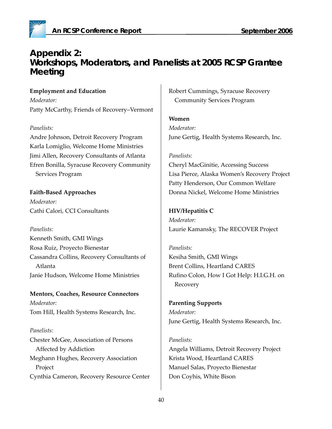

# **Appendix 2: Workshops, Moderators, and Panelists at 2005 RCSP Grantee Meeting**

**Employment and Education** *Moderator:*  Patty McCarthy, Friends of Recovery–Vermont

### *Panelists:*

Andre Johnson, Detroit Recovery Program Karla Lomiglio, Welcome Home Ministries Jimi Allen, Recovery Consultants of Atlanta Efren Bonilla, Syracuse Recovery Community Services Program

**Faith-Based Approaches** *Moderator:* Cathi Calori, CCI Consultants

*Panelists:*

Kenneth Smith, GMI Wings Rosa Ruiz, Proyecto Bienestar Cassandra Collins, Recovery Consultants of Atlanta Janie Hudson, Welcome Home Ministries

**Mentors, Coaches, Resource Connectors** *Moderator:*  Tom Hill, Health Systems Research, Inc.

### *Panelists:*

Chester McGee, Association of Persons Affected by Addiction Meghann Hughes, Recovery Association Project Cynthia Cameron, Recovery Resource Center Robert Cummings, Syracuse Recovery Community Services Program

**Women** *Moderator:*  June Gertig, Health Systems Research, Inc.

#### *Panelists:*

Cheryl MacGinitie, Accessing Success Lisa Pierce, Alaska Women's Recovery Project Patty Henderson, Our Common Welfare Donna Nickel, Welcome Home Ministries

**HIV/Hepatitis C** *Moderator:*  Laurie Kamansky, The RECOVER Project

*Panelists:* Kesiha Smith, GMI Wings Brent Collins, Heartland CARES Rufino Colon, How I Got Help: H.I.G.H. on Recovery

**Parenting Supports** *Moderator:*  June Gertig, Health Systems Research, Inc.

#### *Panelists:*

Angela Williams, Detroit Recovery Project Krista Wood, Heartland CARES Manuel Salas, Proyecto Bienestar Don Coyhis, White Bison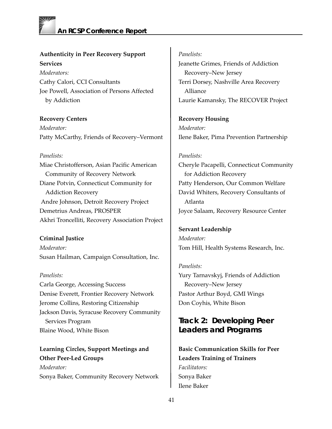### **Authenticity in Peer Recovery Support Services**

*Moderators:*  Cathy Calori, CCI Consultants Joe Powell, Association of Persons Affected by Addiction

**Recovery Centers** *Moderator:*  Patty McCarthy, Friends of Recovery–Vermont

### *Panelists:*

Miae Christofferson, Asian Pacific American Community of Recovery Network Diane Potvin, Connecticut Community for Addiction Recovery Andre Johnson, Detroit Recovery Project Demetrius Andreas, PROSPER Akhri Troncelliti, Recovery Association Project

### **Criminal Justice**

*Moderator:* Susan Hailman, Campaign Consultation, Inc.

### *Panelists:*

Carla George, Accessing Success Denise Everett, Frontier Recovery Network Jerome Collins, Restoring Citizenship Jackson Davis, Syracuse Recovery Community Services Program Blaine Wood, White Bison

**Learning Circles, Support Meetings and Other Peer-Led Groups** *Moderator:* Sonya Baker, Community Recovery Network

### *Panelists:*

Jeanette Grimes, Friends of Addiction Recovery–New Jersey Terri Dorsey, Nashville Area Recovery Alliance Laurie Kamansky, The RECOVER Project

**Recovery Housing** *Moderator:*  Ilene Baker, Pima Prevention Partnership

### *Panelists:*

Cheryle Pacapelli, Connecticut Community for Addiction Recovery Patty Henderson, Our Common Welfare David Whiters, Recovery Consultants of Atlanta Joyce Salaam, Recovery Resource Center

**Servant Leadership** *Moderator:*  Tom Hill, Health Systems Research, Inc.

### *Panelists:*

Yury Tarnavskyj, Friends of Addiction Recovery–New Jersey Pastor Arthur Boyd, GMI Wings Don Coyhis, White Bison

### **Track 2: Developing Peer Leaders and Programs**

**Basic Communication Skills for Peer Leaders Training of Trainers**  *Facilitators:* Sonya Baker Ilene Baker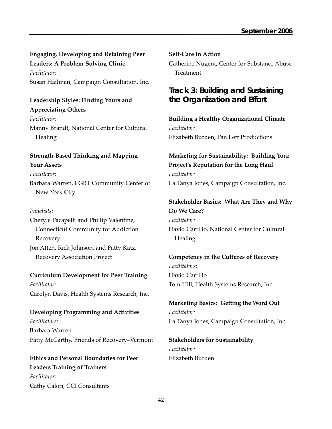### **Engaging, Developing and Retaining Peer Leaders: A Problem-Solving Clinic**

*Facilitator:* Susan Hailman, Campaign Consultation, Inc.

# **Leadership Styles: Finding Yours and**

**Appreciating Others** *Facilitator:* Manny Brandt, National Center for Cultural **Healing** 

### **Strength-Based Thinking and Mapping Your Assets**

*Facilitator:* Barbara Warren, LGBT Community Center of New York City

### *Panelists:*

Cheryle Pacapelli and Phillip Valentine, Connecticut Community for Addiction Recovery Jon Atten, Rick Johnson, and Patty Katz, Recovery Association Project

**Curriculum Development for Peer Training** *Facilitator:* Carolyn Davis, Health Systems Research, Inc.

# **Developing Programming and Activities**

*Facilitators:* Barbara Warren Patty McCarthy, Friends of Recovery–Vermont

**Ethics and Personal Boundaries for Peer Leaders Training of Trainers**  *Facilitator:* Cathy Calori, CCI Consultants

**Self-Care in Action** Catherine Nugent, Center for Substance Abuse **Treatment** 

# **Track 3: Building and Sustaining the Organization and Effort**

**Building a Healthy Organizational Climate** *Facilitator:* Elizabeth Burden, Pan Left Productions

# **Marketing for Sustainability: Building Your Project's Reputation for the Long Haul** *Facilitator:*

La Tanya Jones, Campaign Consultation, Inc.

### **Stakeholder Basics: What Are They and Why Do We Care?**

*Facilitator:* David Carrillo, National Center for Cultural Healing

**Competency in the Cultures of Recovery** *Facilitators:* David Carrillo Tom Hill, Health Systems Research, Inc.

**Marketing Basics: Getting the Word Out** *Facilitator:* La Tanya Jones, Campaign Consultation, Inc.

**Stakeholders for Sustainability** *Facilitator:* Elizabeth Burden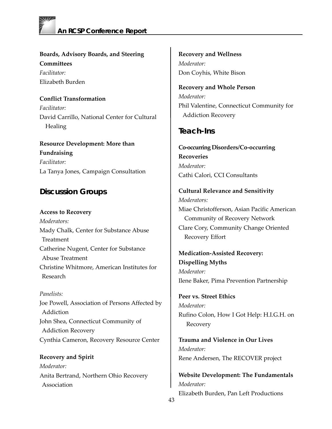

**Boards, Advisory Boards, and Steering Committees** *Facilitator:* Elizabeth Burden

**Conflict Transformation** *Facilitator:* David Carrillo, National Center for Cultural **Healing** 

**Resource Development: More than Fundraising** *Facilitator:* La Tanya Jones, Campaign Consultation

### **Discussion Groups**

**Access to Recovery** *Moderators:* Mady Chalk, Center for Substance Abuse Treatment Catherine Nugent, Center for Substance Abuse Treatment Christine Whitmore, American Institutes for Research

*Panelists:* Joe Powell, Association of Persons Affected by Addiction John Shea, Connecticut Community of Addiction Recovery Cynthia Cameron, Recovery Resource Center

**Recovery and Spirit**  *Moderator:* Anita Bertrand, Northern Ohio Recovery Association

**Recovery and Wellness**  *Moderator:* Don Coyhis, White Bison

**Recovery and Whole Person** *Moderator:* Phil Valentine, Connecticut Community for Addiction Recovery

### **Teach-Ins**

**Co-occurring Disorders/Co-occurring Recoveries** *Moderator:* Cathi Calori, CCI Consultants

**Cultural Relevance and Sensitivity** *Moderators:* Miae Christofferson, Asian Pacific American Community of Recovery Network Clare Cory, Community Change Oriented Recovery Effort

**Medication-Assisted Recovery: Dispelling Myths** *Moderator:* Ilene Baker, Pima Prevention Partnership

**Peer vs. Street Ethics** *Moderator:* Rufino Colon, How I Got Help: H.I.G.H. on Recovery

**Trauma and Violence in Our Lives** *Moderator:* Rene Andersen, The RECOVER project

**Website Development: The Fundamentals**  *Moderator:* Elizabeth Burden, Pan Left Productions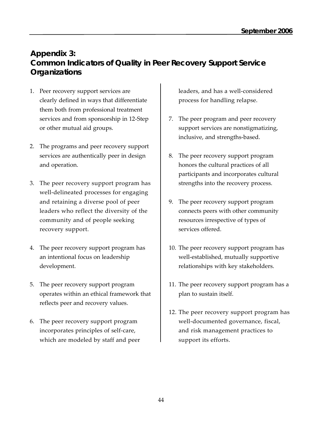# **Appendix 3: Common Indicators of Quality in Peer Recovery Support Service Organizations**

- 1. Peer recovery support services are clearly defined in ways that differentiate them both from professional treatment services and from sponsorship in 12-Step or other mutual aid groups.
- 2. The programs and peer recovery support services are authentically peer in design and operation.
- 3. The peer recovery support program has well-delineated processes for engaging and retaining a diverse pool of peer leaders who reflect the diversity of the community and of people seeking recovery support.
- 4. The peer recovery support program has an intentional focus on leadership development.
- 5. The peer recovery support program operates within an ethical framework that reflects peer and recovery values.
- 6. The peer recovery support program incorporates principles of self-care, which are modeled by staff and peer

leaders, and has a well-considered process for handling relapse.

- 7. The peer program and peer recovery support services are nonstigmatizing, inclusive, and strengths-based.
- 8. The peer recovery support program honors the cultural practices of all participants and incorporates cultural strengths into the recovery process.
- 9. The peer recovery support program connects peers with other community resources irrespective of types of services offered.
- 10. The peer recovery support program has well-established, mutually supportive relationships with key stakeholders.
- 11. The peer recovery support program has a plan to sustain itself.
- 12. The peer recovery support program has well-documented governance, fiscal, and risk management practices to support its efforts.